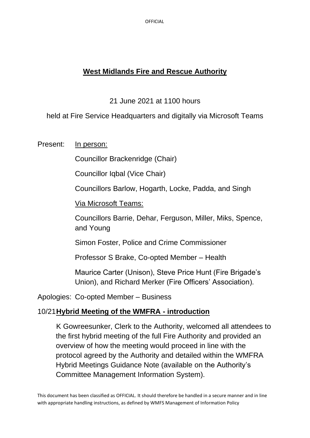OFFICIAL

# **West Midlands Fire and Rescue Authority**

21 June 2021 at 1100 hours

held at Fire Service Headquarters and digitally via Microsoft Teams

Present: In person:

Councillor Brackenridge (Chair)

Councillor Iqbal (Vice Chair)

Councillors Barlow, Hogarth, Locke, Padda, and Singh

Via Microsoft Teams:

Councillors Barrie, Dehar, Ferguson, Miller, Miks, Spence, and Young

Simon Foster, Police and Crime Commissioner

Professor S Brake, Co-opted Member – Health

Maurice Carter (Unison), Steve Price Hunt (Fire Brigade's Union), and Richard Merker (Fire Officers' Association).

Apologies: Co-opted Member – Business

# 10/21**Hybrid Meeting of the WMFRA - introduction**

K Gowreesunker, Clerk to the Authority, welcomed all attendees to the first hybrid meeting of the full Fire Authority and provided an overview of how the meeting would proceed in line with the protocol agreed by the Authority and detailed within the WMFRA Hybrid Meetings Guidance Note (available on the Authority's Committee Management Information System).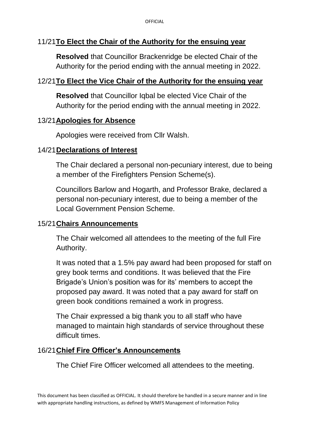## 11/21**To Elect the Chair of the Authority for the ensuing year**

**Resolved** that Councillor Brackenridge be elected Chair of the Authority for the period ending with the annual meeting in 2022.

### 12/21**To Elect the Vice Chair of the Authority for the ensuing year**

**Resolved** that Councillor Igbal be elected Vice Chair of the Authority for the period ending with the annual meeting in 2022.

#### 13/21**Apologies for Absence**

Apologies were received from Cllr Walsh.

#### 14/21**Declarations of Interest**

The Chair declared a personal non-pecuniary interest, due to being a member of the Firefighters Pension Scheme(s).

Councillors Barlow and Hogarth, and Professor Brake, declared a personal non-pecuniary interest, due to being a member of the Local Government Pension Scheme.

#### 15/21**Chairs Announcements**

The Chair welcomed all attendees to the meeting of the full Fire Authority.

It was noted that a 1.5% pay award had been proposed for staff on grey book terms and conditions. It was believed that the Fire Brigade's Union's position was for its' members to accept the proposed pay award. It was noted that a pay award for staff on green book conditions remained a work in progress.

The Chair expressed a big thank you to all staff who have managed to maintain high standards of service throughout these difficult times.

#### 16/21**Chief Fire Officer's Announcements**

The Chief Fire Officer welcomed all attendees to the meeting.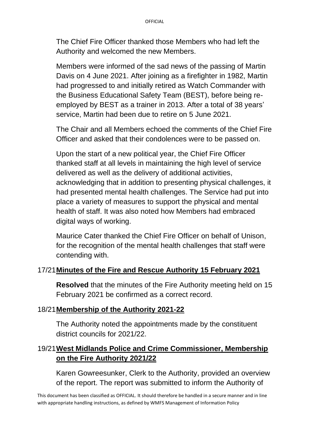The Chief Fire Officer thanked those Members who had left the Authority and welcomed the new Members.

Members were informed of the sad news of the passing of Martin Davis on 4 June 2021. After joining as a firefighter in 1982, Martin had progressed to and initially retired as Watch Commander with the Business Educational Safety Team (BEST), before being reemployed by BEST as a trainer in 2013. After a total of 38 years' service, Martin had been due to retire on 5 June 2021.

The Chair and all Members echoed the comments of the Chief Fire Officer and asked that their condolences were to be passed on.

Upon the start of a new political year, the Chief Fire Officer thanked staff at all levels in maintaining the high level of service delivered as well as the delivery of additional activities, acknowledging that in addition to presenting physical challenges, it had presented mental health challenges. The Service had put into place a variety of measures to support the physical and mental health of staff. It was also noted how Members had embraced digital ways of working.

Maurice Cater thanked the Chief Fire Officer on behalf of Unison, for the recognition of the mental health challenges that staff were contending with.

# 17/21**Minutes of the Fire and Rescue Authority 15 February 2021**

**Resolved** that the minutes of the Fire Authority meeting held on 15 February 2021 be confirmed as a correct record.

#### 18/21**Membership of the Authority 2021-22**

The Authority noted the appointments made by the constituent district councils for 2021/22.

# 19/21**West Midlands Police and Crime Commissioner, Membership on the Fire Authority 2021/22**

Karen Gowreesunker, Clerk to the Authority, provided an overview of the report. The report was submitted to inform the Authority of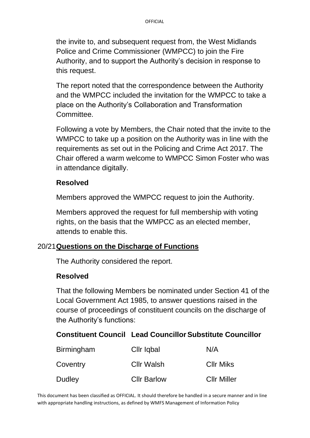the invite to, and subsequent request from, the West Midlands Police and Crime Commissioner (WMPCC) to join the Fire Authority, and to support the Authority's decision in response to this request.

The report noted that the correspondence between the Authority and the WMPCC included the invitation for the WMPCC to take a place on the Authority's Collaboration and Transformation Committee.

Following a vote by Members, the Chair noted that the invite to the WMPCC to take up a position on the Authority was in line with the requirements as set out in the Policing and Crime Act 2017. The Chair offered a warm welcome to WMPCC Simon Foster who was in attendance digitally.

#### **Resolved**

Members approved the WMPCC request to join the Authority.

Members approved the request for full membership with voting rights, on the basis that the WMPCC as an elected member, attends to enable this.

#### 20/21**Questions on the Discharge of Functions**

The Authority considered the report.

#### **Resolved**

That the following Members be nominated under Section 41 of the Local Government Act 1985, to answer questions raised in the course of proceedings of constituent councils on the discharge of the Authority's functions:

# **Constituent Council Lead CouncillorSubstitute Councillor**

| Birmingham | Cllr Iqbal         | N/A                |
|------------|--------------------|--------------------|
| Coventry   | <b>Cllr Walsh</b>  | <b>CIIr Miks</b>   |
| Dudley     | <b>Cllr Barlow</b> | <b>Cllr Miller</b> |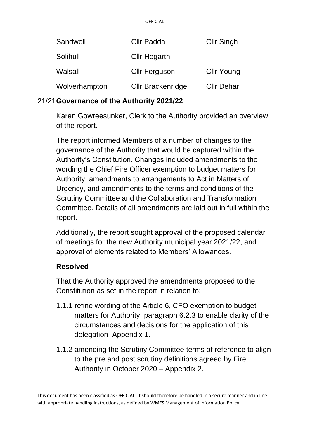| Sandwell      | Cllr Padda               | <b>Cllr Singh</b> |
|---------------|--------------------------|-------------------|
| Solihull      | <b>Cllr Hogarth</b>      |                   |
| Walsall       | <b>Cllr Ferguson</b>     | <b>Cllr Young</b> |
| Wolverhampton | <b>Cllr Brackenridge</b> | <b>Cllr Dehar</b> |

#### 21/21**Governance of the Authority 2021/22**

Karen Gowreesunker, Clerk to the Authority provided an overview of the report.

The report informed Members of a number of changes to the governance of the Authority that would be captured within the Authority's Constitution. Changes included amendments to the wording the Chief Fire Officer exemption to budget matters for Authority, amendments to arrangements to Act in Matters of Urgency, and amendments to the terms and conditions of the Scrutiny Committee and the Collaboration and Transformation Committee. Details of all amendments are laid out in full within the report.

Additionally, the report sought approval of the proposed calendar of meetings for the new Authority municipal year 2021/22, and approval of elements related to Members' Allowances.

#### **Resolved**

That the Authority approved the amendments proposed to the Constitution as set in the report in relation to:

- 1.1.1 refine wording of the Article 6, CFO exemption to budget matters for Authority, paragraph 6.2.3 to enable clarity of the circumstances and decisions for the application of this delegation Appendix 1.
- 1.1.2 amending the Scrutiny Committee terms of reference to align to the pre and post scrutiny definitions agreed by Fire Authority in October 2020 – Appendix 2.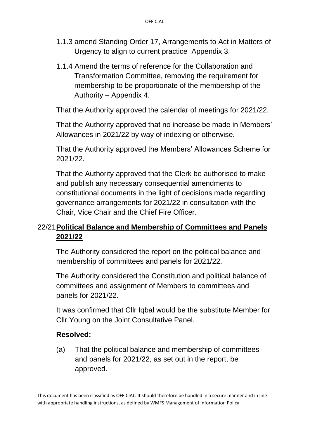- 1.1.3 amend Standing Order 17, Arrangements to Act in Matters of Urgency to align to current practice Appendix 3.
- 1.1.4 Amend the terms of reference for the Collaboration and Transformation Committee, removing the requirement for membership to be proportionate of the membership of the Authority – Appendix 4.

That the Authority approved the calendar of meetings for 2021/22.

That the Authority approved that no increase be made in Members' Allowances in 2021/22 by way of indexing or otherwise.

That the Authority approved the Members' Allowances Scheme for 2021/22.

That the Authority approved that the Clerk be authorised to make and publish any necessary consequential amendments to constitutional documents in the light of decisions made regarding governance arrangements for 2021/22 in consultation with the Chair, Vice Chair and the Chief Fire Officer.

# 22/21**Political Balance and Membership of Committees and Panels 2021/22**

The Authority considered the report on the political balance and membership of committees and panels for 2021/22.

The Authority considered the Constitution and political balance of committees and assignment of Members to committees and panels for 2021/22.

It was confirmed that Cllr Iqbal would be the substitute Member for Cllr Young on the Joint Consultative Panel.

# **Resolved:**

(a) That the political balance and membership of committees and panels for 2021/22, as set out in the report, be approved.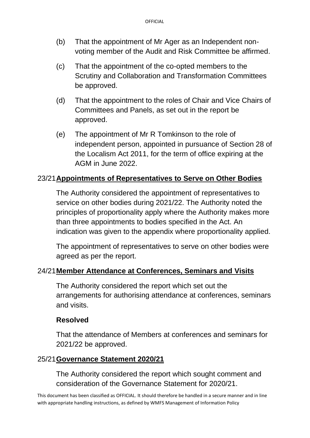- (b) That the appointment of Mr Ager as an Independent nonvoting member of the Audit and Risk Committee be affirmed.
- (c) That the appointment of the co-opted members to the Scrutiny and Collaboration and Transformation Committees be approved.
- (d) That the appointment to the roles of Chair and Vice Chairs of Committees and Panels, as set out in the report be approved.
- (e) The appointment of Mr R Tomkinson to the role of independent person, appointed in pursuance of Section 28 of the Localism Act 2011, for the term of office expiring at the AGM in June 2022.

## 23/21**Appointments of Representatives to Serve on Other Bodies**

The Authority considered the appointment of representatives to service on other bodies during 2021/22. The Authority noted the principles of proportionality apply where the Authority makes more than three appointments to bodies specified in the Act. An indication was given to the appendix where proportionality applied.

The appointment of representatives to serve on other bodies were agreed as per the report.

#### 24/21**Member Attendance at Conferences, Seminars and Visits**

The Authority considered the report which set out the arrangements for authorising attendance at conferences, seminars and visits.

#### **Resolved**

That the attendance of Members at conferences and seminars for 2021/22 be approved.

#### 25/21**Governance Statement 2020/21**

The Authority considered the report which sought comment and consideration of the Governance Statement for 2020/21.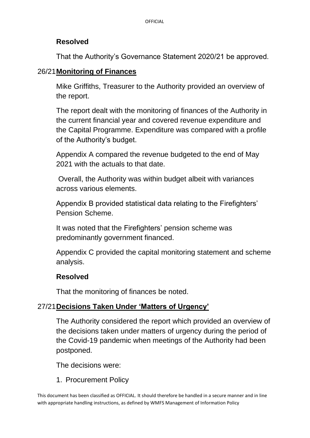#### **Resolved**

That the Authority's Governance Statement 2020/21 be approved.

#### 26/21**Monitoring of Finances**

Mike Griffiths, Treasurer to the Authority provided an overview of the report.

The report dealt with the monitoring of finances of the Authority in the current financial year and covered revenue expenditure and the Capital Programme. Expenditure was compared with a profile of the Authority's budget.

Appendix A compared the revenue budgeted to the end of May 2021 with the actuals to that date.

Overall, the Authority was within budget albeit with variances across various elements.

Appendix B provided statistical data relating to the Firefighters' Pension Scheme.

It was noted that the Firefighters' pension scheme was predominantly government financed.

Appendix C provided the capital monitoring statement and scheme analysis.

#### **Resolved**

That the monitoring of finances be noted.

# 27/21**Decisions Taken Under 'Matters of Urgency'**

The Authority considered the report which provided an overview of the decisions taken under matters of urgency during the period of the Covid-19 pandemic when meetings of the Authority had been postponed.

The decisions were:

1. Procurement Policy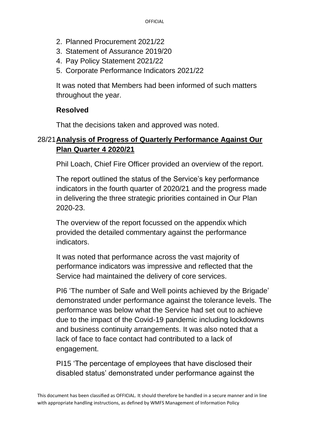- 2. Planned Procurement 2021/22
- 3. Statement of Assurance 2019/20
- 4. Pay Policy Statement 2021/22
- 5. Corporate Performance Indicators 2021/22

It was noted that Members had been informed of such matters throughout the year.

# **Resolved**

That the decisions taken and approved was noted.

## 28/21**Analysis of Progress of Quarterly Performance Against Our Plan Quarter 4 2020/21**

Phil Loach, Chief Fire Officer provided an overview of the report.

The report outlined the status of the Service's key performance indicators in the fourth quarter of 2020/21 and the progress made in delivering the three strategic priorities contained in Our Plan 2020-23.

The overview of the report focussed on the appendix which provided the detailed commentary against the performance indicators.

It was noted that performance across the vast majority of performance indicators was impressive and reflected that the Service had maintained the delivery of core services.

PI6 'The number of Safe and Well points achieved by the Brigade' demonstrated under performance against the tolerance levels. The performance was below what the Service had set out to achieve due to the impact of the Covid-19 pandemic including lockdowns and business continuity arrangements. It was also noted that a lack of face to face contact had contributed to a lack of engagement.

PI15 'The percentage of employees that have disclosed their disabled status' demonstrated under performance against the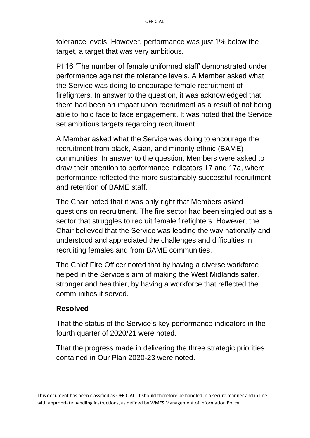tolerance levels. However, performance was just 1% below the target, a target that was very ambitious.

PI 16 'The number of female uniformed staff' demonstrated under performance against the tolerance levels. A Member asked what the Service was doing to encourage female recruitment of firefighters. In answer to the question, it was acknowledged that there had been an impact upon recruitment as a result of not being able to hold face to face engagement. It was noted that the Service set ambitious targets regarding recruitment.

A Member asked what the Service was doing to encourage the recruitment from black, Asian, and minority ethnic (BAME) communities. In answer to the question, Members were asked to draw their attention to performance indicators 17 and 17a, where performance reflected the more sustainably successful recruitment and retention of BAME staff.

The Chair noted that it was only right that Members asked questions on recruitment. The fire sector had been singled out as a sector that struggles to recruit female firefighters. However, the Chair believed that the Service was leading the way nationally and understood and appreciated the challenges and difficulties in recruiting females and from BAME communities.

The Chief Fire Officer noted that by having a diverse workforce helped in the Service's aim of making the West Midlands safer, stronger and healthier, by having a workforce that reflected the communities it served.

#### **Resolved**

That the status of the Service's key performance indicators in the fourth quarter of 2020/21 were noted.

That the progress made in delivering the three strategic priorities contained in Our Plan 2020-23 were noted.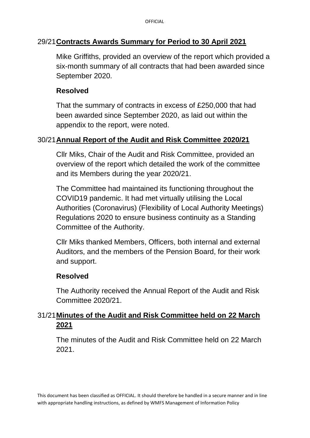## 29/21**Contracts Awards Summary for Period to 30 April 2021**

Mike Griffiths, provided an overview of the report which provided a six-month summary of all contracts that had been awarded since September 2020.

## **Resolved**

That the summary of contracts in excess of £250,000 that had been awarded since September 2020, as laid out within the appendix to the report, were noted.

#### 30/21**Annual Report of the Audit and Risk Committee 2020/21**

Cllr Miks, Chair of the Audit and Risk Committee, provided an overview of the report which detailed the work of the committee and its Members during the year 2020/21.

The Committee had maintained its functioning throughout the COVID19 pandemic. It had met virtually utilising the Local Authorities (Coronavirus) (Flexibility of Local Authority Meetings) Regulations 2020 to ensure business continuity as a Standing Committee of the Authority.

Cllr Miks thanked Members, Officers, both internal and external Auditors, and the members of the Pension Board, for their work and support.

#### **Resolved**

The Authority received the Annual Report of the Audit and Risk Committee 2020/21.

# 31/21**Minutes of the Audit and Risk Committee held on 22 March 2021**

The minutes of the Audit and Risk Committee held on 22 March 2021.